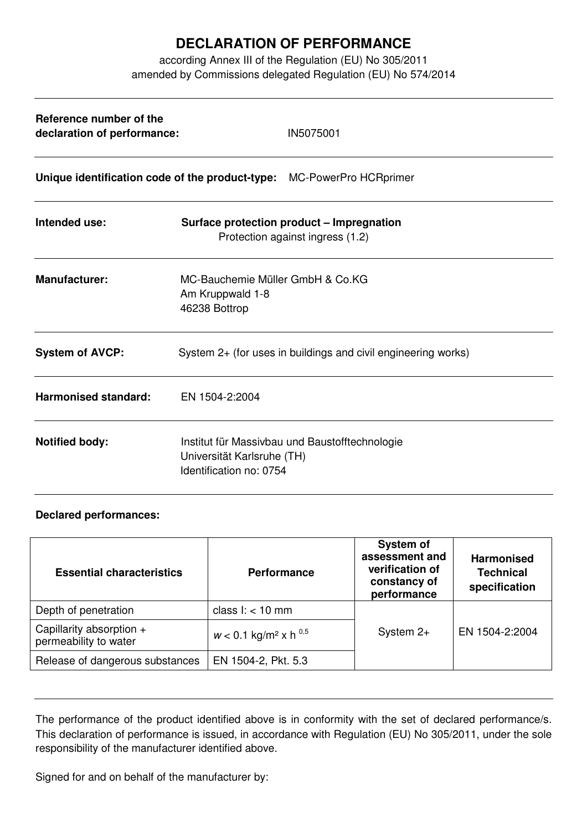## **DECLARATION OF PERFORMANCE**

according Annex III of the Regulation (EU) No 305/2011 amended by Commissions delegated Regulation (EU) No 574/2014

| Reference number of the<br>declaration of performance: | IN5075001                                                                                               |  |  |
|--------------------------------------------------------|---------------------------------------------------------------------------------------------------------|--|--|
|                                                        | Unique identification code of the product-type: MC-PowerPro HCRprimer                                   |  |  |
| Intended use:                                          | Surface protection product - Impregnation<br>Protection against ingress (1.2)                           |  |  |
| <b>Manufacturer:</b>                                   | MC-Bauchemie Müller GmbH & Co.KG<br>Am Kruppwald 1-8<br>46238 Bottrop                                   |  |  |
| <b>System of AVCP:</b>                                 | System 2+ (for uses in buildings and civil engineering works)                                           |  |  |
| <b>Harmonised standard:</b>                            | EN 1504-2:2004                                                                                          |  |  |
| <b>Notified body:</b>                                  | Institut für Massivbau und Baustofftechnologie<br>Universität Karlsruhe (TH)<br>Identification no: 0754 |  |  |

## **Declared performances:**

| <b>Essential characteristics</b>                  | <b>Performance</b>                             | <b>System of</b><br>assessment and<br>verification of<br>constancy of<br>performance | <b>Harmonised</b><br><b>Technical</b><br>specification |
|---------------------------------------------------|------------------------------------------------|--------------------------------------------------------------------------------------|--------------------------------------------------------|
| Depth of penetration                              | class $l:$ < 10 mm                             |                                                                                      |                                                        |
| Capillarity absorption +<br>permeability to water | $w < 0.1$ kg/m <sup>2</sup> x h <sup>0,5</sup> | System $2+$                                                                          | EN 1504-2:2004                                         |
| Release of dangerous substances                   | EN 1504-2, Pkt. 5.3                            |                                                                                      |                                                        |

The performance of the product identified above is in conformity with the set of declared performance/s. This declaration of performance is issued, in accordance with Regulation (EU) No 305/2011, under the sole responsibility of the manufacturer identified above.

Signed for and on behalf of the manufacturer by: